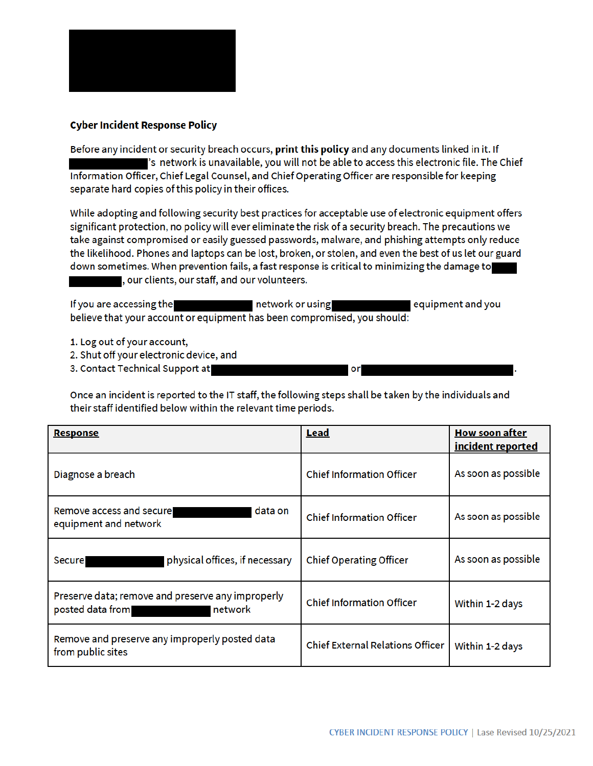

## **Cyber Incident Response Policy**

Before any incident or security breach occurs, print this policy and any documents linked in it. If is network is unavailable, you will not be able to access this electronic file. The Chief Information Officer, Chief Legal Counsel, and Chief Operating Officer are responsible for keeping separate hard copies of this policy in their offices.

While adopting and following security best practices for acceptable use of electronic equipment offers significant protection, no policy will ever eliminate the risk of a security breach. The precautions we take against compromised or easily guessed passwords, malware, and phishing attempts only reduce the likelihood. Phones and laptops can be lost, broken, or stolen, and even the best of us let our guard down sometimes. When prevention fails, a fast response is critical to minimizing the damage to , our clients, our staff, and our volunteers.

If you are accessing the network or using equipment and you believe that your account or equipment has been compromised, you should:

- 1. Log out of your account,
- 2. Shut off your electronic device, and
- 3. Contact Technical Support at

Once an incident is reported to the IT staff, the following steps shall be taken by the individuals and their staff identified below within the relevant time periods.

or

| <b>Response</b>                                                                  | <b>Lead</b>                             | <u>How soon after</u><br>incident reported |
|----------------------------------------------------------------------------------|-----------------------------------------|--------------------------------------------|
| Diagnose a breach                                                                | <b>Chief Information Officer</b>        | As soon as possible                        |
| Remove access and secure<br>data on<br>equipment and network                     | <b>Chief Information Officer</b>        | As soon as possible                        |
| physical offices, if necessary<br><b>Secure</b>                                  | <b>Chief Operating Officer</b>          | As soon as possible                        |
| Preserve data; remove and preserve any improperly<br>posted data from<br>network | <b>Chief Information Officer</b>        | Within 1-2 days                            |
| Remove and preserve any improperly posted data<br>from public sites              | <b>Chief External Relations Officer</b> | Within 1-2 days                            |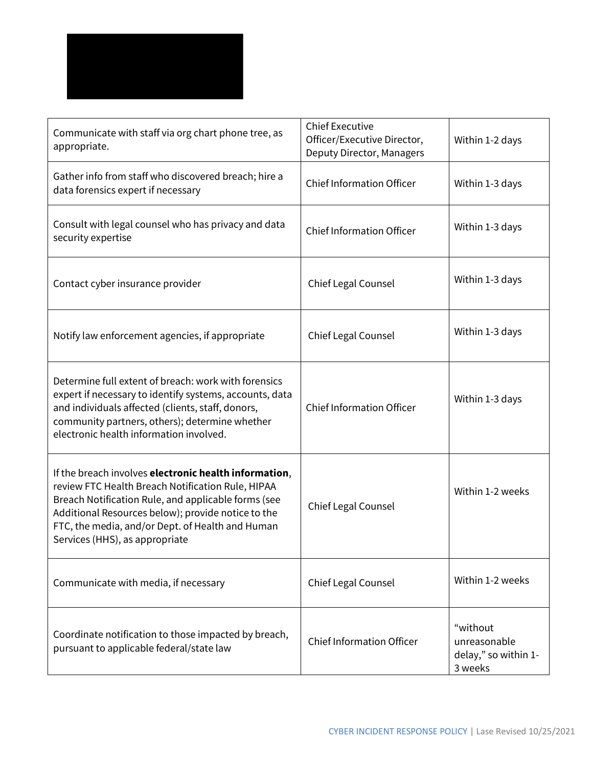

| Communicate with staff via org chart phone tree, as<br>appropriate.                                                                                                                                                                                                                                           | <b>Chief Executive</b><br>Officer/Executive Director,<br>Deputy Director, Managers | Within 1-2 days                                             |
|---------------------------------------------------------------------------------------------------------------------------------------------------------------------------------------------------------------------------------------------------------------------------------------------------------------|------------------------------------------------------------------------------------|-------------------------------------------------------------|
| Gather info from staff who discovered breach; hire a<br>data forensics expert if necessary                                                                                                                                                                                                                    | <b>Chief Information Officer</b>                                                   | Within 1-3 days                                             |
| Consult with legal counsel who has privacy and data<br>security expertise                                                                                                                                                                                                                                     | <b>Chief Information Officer</b>                                                   | Within 1-3 days                                             |
| Contact cyber insurance provider                                                                                                                                                                                                                                                                              | Chief Legal Counsel                                                                | Within 1-3 days                                             |
| Notify law enforcement agencies, if appropriate                                                                                                                                                                                                                                                               | Chief Legal Counsel                                                                | Within 1-3 days                                             |
| Determine full extent of breach: work with forensics<br>expert if necessary to identify systems, accounts, data<br>and individuals affected (clients, staff, donors,<br>community partners, others); determine whether<br>electronic health information involved.                                             | <b>Chief Information Officer</b>                                                   | Within 1-3 days                                             |
| If the breach involves electronic health information,<br>review FTC Health Breach Notification Rule, HIPAA<br>Breach Notification Rule, and applicable forms (see<br>Additional Resources below); provide notice to the<br>FTC, the media, and/or Dept. of Health and Human<br>Services (HHS), as appropriate | <b>Chief Legal Counsel</b>                                                         | Within 1-2 weeks                                            |
| Communicate with media, if necessary                                                                                                                                                                                                                                                                          | Chief Legal Counsel                                                                | Within 1-2 weeks                                            |
| Coordinate notification to those impacted by breach,<br>pursuant to applicable federal/state law                                                                                                                                                                                                              | <b>Chief Information Officer</b>                                                   | "without<br>unreasonable<br>delay," so within 1-<br>3 weeks |